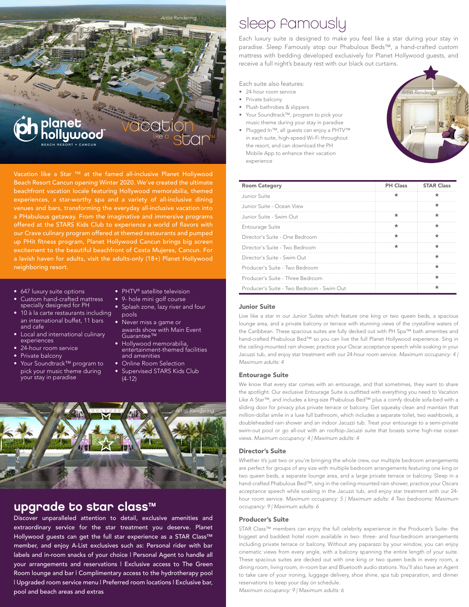

Vacation like a Star ™ at the famed all-inclusive Planet Hollywood Beach Resort Cancun opening Winter 2020. We've created the ultimate beachfront vacation locale featuring Hollywood memorabilia, themed experiences, a star-worthy spa and a variety of all-inclusive dining venues and bars, transforming the everyday all-inclusive vacation into a PHabulous getaway. From the imaginative and immersive programs offered at the STARS Kids Club to experience a world of flavors with our Crave culinary program offered at themed restaurants and pumped up PHit fitness program, Planet Hollywood Cancun brings big screen excitement to the beautiful beachfront of Costa Mujeres, Cancun. For a lavish haven for adults, visit the adults-only (18+) Planet Hollywood neighboring resort.

- 647 luxury suite options
- Custom hand-crafted mattress specially designed for PH
- 10 à la carte restaurants including an international buffet, 11 bars and cafe
- Local and international culinary experiences
- 24-hour room service
- Private balcony
- Your Soundtrack™ program to pick your music theme during your stay in paradise
- PHTV® satellite television
	- 9- hole mini golf course
	- Splash zone, lazy river and four pools
- Never miss a game or awards show with Main Event Guarantee™
- Hollywood memorabilia, entertainment-themed facilities and amenities
- Online Room Selection
- **Supervised STARS Kids Club** (4-12)



# upgrade to star class™

Discover unparalleled attention to detail, exclusive amenities and extraordinary service for the star treatment you deserve. Planet Hollywood guests can get the full star experience as a STAR Class™ member, and enjoy A-List exclusives such as: Personal rider with bar labels and in-room snacks of your choice | Personal Agent to handle all your arrangements and reservations | Exclusive access to The Green Room lounge and bar I Complimentary access to the hydrotherapy pool | Upgraded room service menu | Preferred room locations | Exclusive bar, pool and beach areas and extras

# sleep famously

Each luxury suite is designed to make you feel like a star during your stay in paradise. Sleep Famously atop our Phabulous Beds™, a hand-crafted custom mattress with bedding developed exclusively for Planet Hollywood guests, and receive a full night's beauty rest with our black out curtains.

Each suite also features:

- 24-hour room service
- Private balcony
- Plush bathrobes & slippers
- Your Soundtrack™, program to pick your music theme during your stay in paradise
- Plugged In™, all guests can enjoy a PHTV™ in each suite, high-speed Wi-Fi throughout the resort, and can download the PH Mobile App to enhance their vacation experience



| <b>Room Category</b>                      | <b>PH Class STAR Class</b> |
|-------------------------------------------|----------------------------|
| Junior Suite                              |                            |
| Junior Suite - Ocean View                 |                            |
| Junior Suite - Swim Out                   |                            |
| Entourage Suite                           |                            |
| Director's Suite - One Bedroom            |                            |
| Director's Suite - Two Bedroom            |                            |
| Director's Suite - Swim Out               |                            |
| Producer's Suite - Two Bedroom            |                            |
| Producer's Suite - Three Bedroom          |                            |
| Producer's Suite - Two Bedroom - Swim Out |                            |

#### Junior Suite

Live like a star in our Junior Suites which feature one king or two queen beds, a spacious lounge area, and a private balcony or terrace with stunning views of the crystalline waters of the Caribbean. These spacious suites are fully decked out with PH Spa™ bath amenities and hand-crafted Phabulous Bed™ so you can live the full Planet Hollywood experience. Sing in the ceiling-mounted rain shower, practice your Oscar acceptance speech while soaking in your Jacuzzi tub, and enjoy star treatment with our 24-hour room service. *Maximum occupancy: 4 | Maximum adults: 4*

#### Entourage Suite

We know that every star comes with an entourage, and that sometimes, they want to share the spotlight. Our exclusive Entourage Suite is outfitted with everything you need to Vacation Like A Star™, and includes a king-size Phabulous Bed™ plus a comfy double sofa-bed with a sliding door for privacy plus private terrace or balcony. Get squeaky clean and maintain that million-dollar smile in a luxe full bathroom, which includes a separate toilet, two washbowls, a doubleheaded rain shower and an indoor Jacuzzi tub. Treat your entourage to a semi-private swim-out pool or go all-out with an rooftop-Jacuzzi suite that boasts some high-rise ocean views. *Maximum occupancy: 4 | Maximum adults: 4*

#### Director's Suite

Whether it's just two or you're bringing the whole crew, our multiple bedroom arrangements are perfect for groups of any size with multiple bedroom arrangements featuring one king or two queen beds, a separate lounge area, and a large private terrace or balcony. Sleep in a hand-crafted Phabulous Bed™, sing in the ceiling-mounted rain shower, practice your Oscars acceptance speech while soaking in the Jacuzzi tub, and enjoy star treatment with our 24 hour room service. *Maximum occupancy: 5 | Maximum adults: 4 Two bedrooms: Maximum occupancy: 9 | Maximum adults: 6*

#### Producer's Suite

STAR Class™ members can enjoy the full celebrity experience in the Producer's Suite- the biggest and baddest hotel room available in two- three- and four-bedroom arrangements including private terrace or balcony. Without any paparazzi by your window, you can enjoy cinematic views from every angle, with a balcony spanning the entire length of your suite. These spacious suites are decked out with one king or two queen beds in every room, a dining room, living room, in-room bar and Bluetooth audio stations. You'll also have an Agent to take care of your ironing, luggage delivery, shoe shine, spa tub preparation, and dinner reservations to keep your day on schedule.

*Maximum occupancy: 9 | Maximum adults: 6*